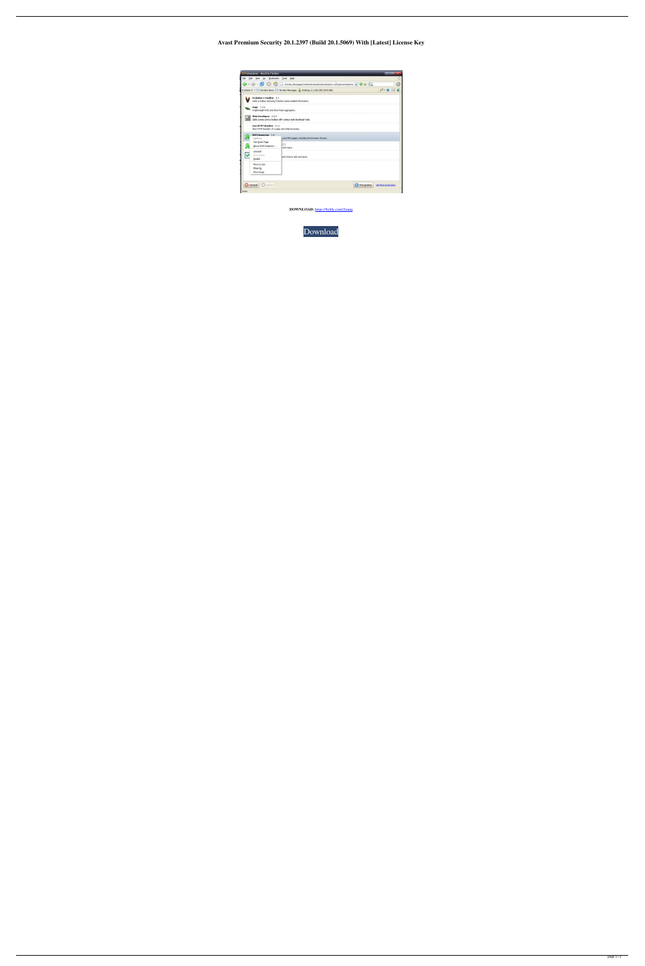**Avast Premium Security 20.1.2397 (Build 20.1.5069) With [Latest] License Key**



**DOWNLOAD:** <https://byltly.com/2ioatq>